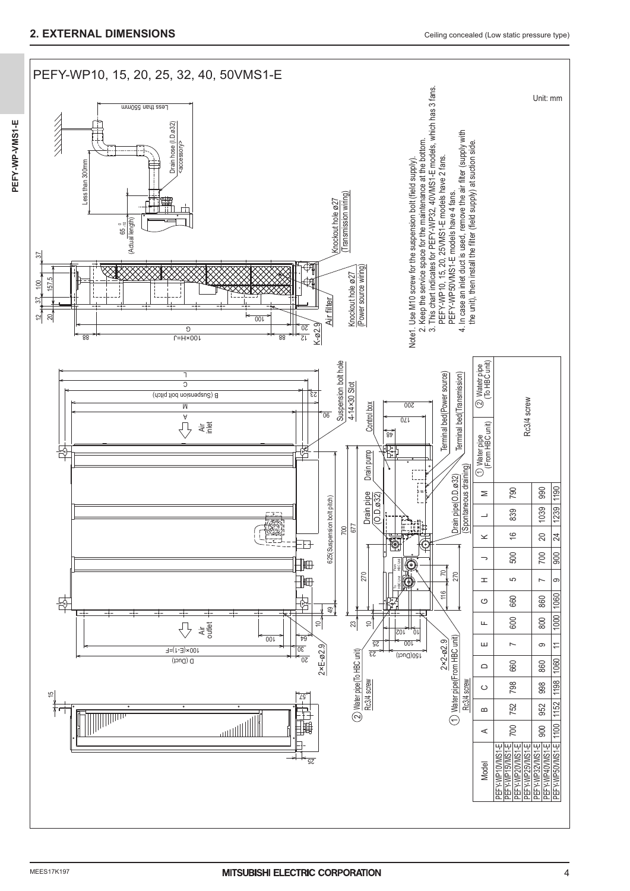